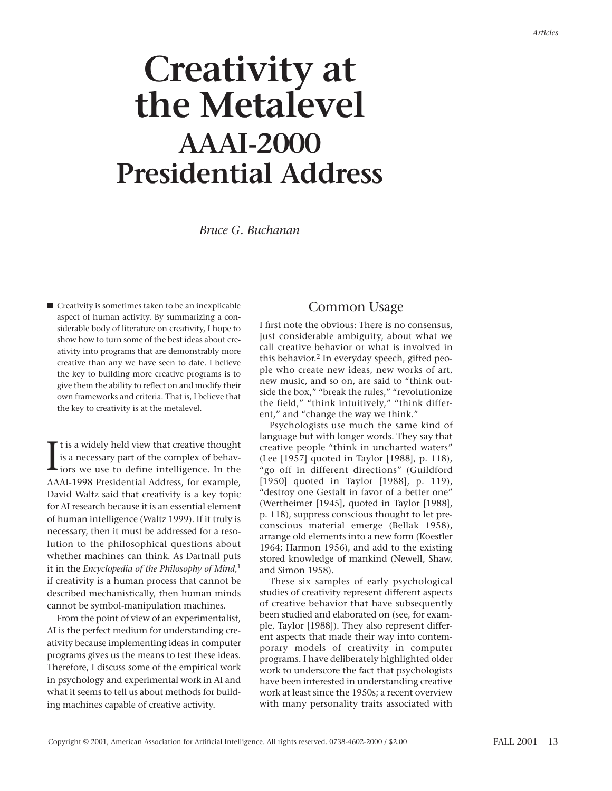# **Creativity at the Metalevel AAAI-2000 Presidential Address**

*Bruce G. Buchanan*

■ Creativity is sometimes taken to be an inexplicable aspect of human activity. By summarizing a considerable body of literature on creativity, I hope to show how to turn some of the best ideas about creativity into programs that are demonstrably more creative than any we have seen to date. I believe the key to building more creative programs is to give them the ability to reflect on and modify their own frameworks and criteria. That is, I believe that the key to creativity is at the metalevel.

It is a widely held view that creative thought<br>is a necessary part of the complex of behaviors we use to define intelligence. In the<br>intelligence of the complex of the complex of the complex of the complex<br>is the complex o t is a widely held view that creative thought is a necessary part of the complex of behav-AAAI-1998 Presidential Address, for example, David Waltz said that creativity is a key topic for AI research because it is an essential element of human intelligence (Waltz 1999). If it truly is necessary, then it must be addressed for a resolution to the philosophical questions about whether machines can think. As Dartnall puts it in the *Encyclopedia of the Philosophy of Mind,*<sup>1</sup> if creativity is a human process that cannot be described mechanistically, then human minds cannot be symbol-manipulation machines.

From the point of view of an experimentalist, AI is the perfect medium for understanding creativity because implementing ideas in computer programs gives us the means to test these ideas. Therefore, I discuss some of the empirical work in psychology and experimental work in AI and what it seems to tell us about methods for building machines capable of creative activity.

# Common Usage

I first note the obvious: There is no consensus, just considerable ambiguity, about what we call creative behavior or what is involved in this behavior.2 In everyday speech, gifted people who create new ideas, new works of art, new music, and so on, are said to "think outside the box," "break the rules," "revolutionize the field," "think intuitively," "think different," and "change the way we think."

Psychologists use much the same kind of language but with longer words. They say that creative people "think in uncharted waters" (Lee [1957] quoted in Taylor [1988], p. 118), "go off in different directions" (Guildford [1950] quoted in Taylor [1988], p. 119), "destroy one Gestalt in favor of a better one" (Wertheimer [1945], quoted in Taylor [1988], p. 118), suppress conscious thought to let preconscious material emerge (Bellak 1958), arrange old elements into a new form (Koestler 1964; Harmon 1956), and add to the existing stored knowledge of mankind (Newell, Shaw, and Simon 1958).

These six samples of early psychological studies of creativity represent different aspects of creative behavior that have subsequently been studied and elaborated on (see, for example, Taylor [1988]). They also represent different aspects that made their way into contemporary models of creativity in computer programs. I have deliberately highlighted older work to underscore the fact that psychologists have been interested in understanding creative work at least since the 1950s; a recent overview with many personality traits associated with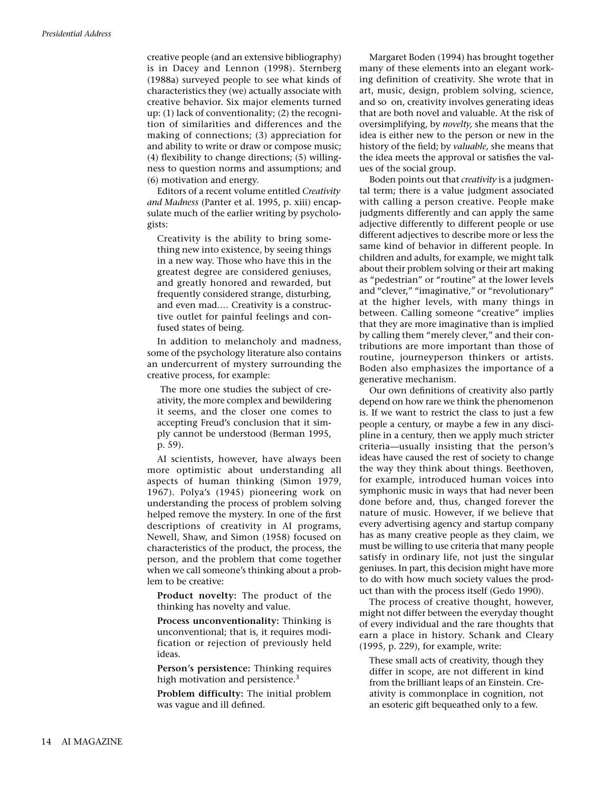creative people (and an extensive bibliography) is in Dacey and Lennon (1998). Sternberg (1988a) surveyed people to see what kinds of characteristics they (we) actually associate with creative behavior. Six major elements turned up: (1) lack of conventionality; (2) the recognition of similarities and differences and the making of connections; (3) appreciation for and ability to write or draw or compose music; (4) flexibility to change directions; (5) willingness to question norms and assumptions; and (6) motivation and energy.

Editors of a recent volume entitled *Creativity and Madness* (Panter et al. 1995, p. xiii) encapsulate much of the earlier writing by psychologists:

Creativity is the ability to bring something new into existence, by seeing things in a new way. Those who have this in the greatest degree are considered geniuses, and greatly honored and rewarded, but frequently considered strange, disturbing, and even mad.… Creativity is a constructive outlet for painful feelings and confused states of being.

In addition to melancholy and madness, some of the psychology literature also contains an undercurrent of mystery surrounding the creative process, for example:

The more one studies the subject of creativity, the more complex and bewildering it seems, and the closer one comes to accepting Freud's conclusion that it simply cannot be understood (Berman 1995, p. 59).

AI scientists, however, have always been more optimistic about understanding all aspects of human thinking (Simon 1979, 1967). Polya's (1945) pioneering work on understanding the process of problem solving helped remove the mystery. In one of the first descriptions of creativity in AI programs, Newell, Shaw, and Simon (1958) focused on characteristics of the product, the process, the person, and the problem that come together when we call someone's thinking about a problem to be creative:

**Product novelty:** The product of the thinking has novelty and value.

**Process unconventionality:** Thinking is unconventional; that is, it requires modification or rejection of previously held ideas.

**Person's persistence:** Thinking requires high motivation and persistence.<sup>3</sup>

**Problem difficulty:** The initial problem was vague and ill defined.

Margaret Boden (1994) has brought together many of these elements into an elegant working definition of creativity. She wrote that in art, music, design, problem solving, science, and so on, creativity involves generating ideas that are both novel and valuable. At the risk of oversimplifying, by *novelty,* she means that the idea is either new to the person or new in the history of the field; by *valuable,* she means that the idea meets the approval or satisfies the values of the social group.

Boden points out that *creativity* is a judgmental term; there is a value judgment associated with calling a person creative. People make judgments differently and can apply the same adjective differently to different people or use different adjectives to describe more or less the same kind of behavior in different people. In children and adults, for example, we might talk about their problem solving or their art making as "pedestrian" or "routine" at the lower levels and "clever," "imaginative," or "revolutionary" at the higher levels, with many things in between. Calling someone "creative" implies that they are more imaginative than is implied by calling them "merely clever," and their contributions are more important than those of routine, journeyperson thinkers or artists. Boden also emphasizes the importance of a generative mechanism.

Our own definitions of creativity also partly depend on how rare we think the phenomenon is. If we want to restrict the class to just a few people a century, or maybe a few in any discipline in a century, then we apply much stricter criteria—usually insisting that the person's ideas have caused the rest of society to change the way they think about things. Beethoven, for example, introduced human voices into symphonic music in ways that had never been done before and, thus, changed forever the nature of music. However, if we believe that every advertising agency and startup company has as many creative people as they claim, we must be willing to use criteria that many people satisfy in ordinary life, not just the singular geniuses. In part, this decision might have more to do with how much society values the product than with the process itself (Gedo 1990).

The process of creative thought, however, might not differ between the everyday thought of every individual and the rare thoughts that earn a place in history. Schank and Cleary (1995, p. 229), for example, write:

These small acts of creativity, though they differ in scope, are not different in kind from the brilliant leaps of an Einstein. Creativity is commonplace in cognition, not an esoteric gift bequeathed only to a few.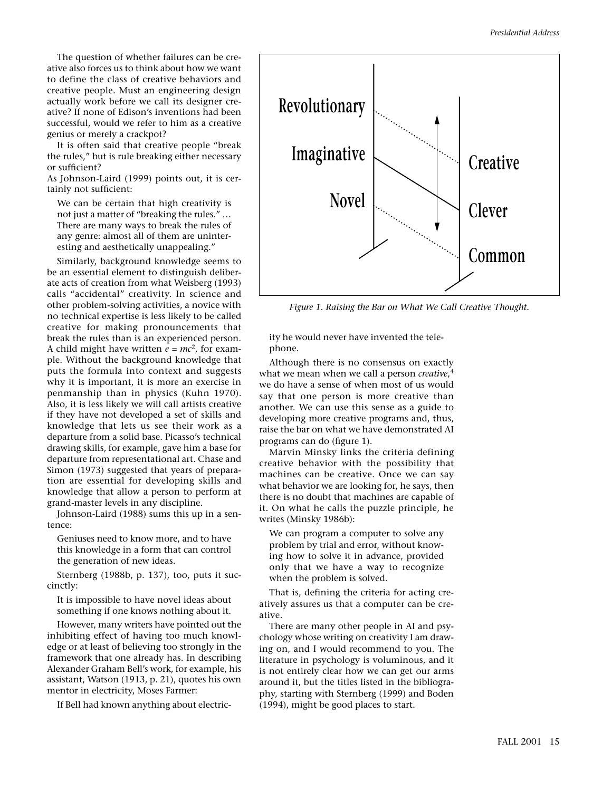The question of whether failures can be creative also forces us to think about how we want to define the class of creative behaviors and creative people. Must an engineering design actually work before we call its designer creative? If none of Edison's inventions had been successful, would we refer to him as a creative genius or merely a crackpot?

It is often said that creative people "break the rules," but is rule breaking either necessary or sufficient?

As Johnson-Laird (1999) points out, it is certainly not sufficient:

We can be certain that high creativity is not just a matter of "breaking the rules." … There are many ways to break the rules of any genre: almost all of them are uninteresting and aesthetically unappealing."

Similarly, background knowledge seems to be an essential element to distinguish deliberate acts of creation from what Weisberg (1993) calls "accidental" creativity. In science and other problem-solving activities, a novice with no technical expertise is less likely to be called creative for making pronouncements that break the rules than is an experienced person. A child might have written  $e = mc^2$ , for example. Without the background knowledge that puts the formula into context and suggests why it is important, it is more an exercise in penmanship than in physics (Kuhn 1970). Also, it is less likely we will call artists creative if they have not developed a set of skills and knowledge that lets us see their work as a departure from a solid base. Picasso's technical drawing skills, for example, gave him a base for departure from representational art. Chase and Simon (1973) suggested that years of preparation are essential for developing skills and knowledge that allow a person to perform at grand-master levels in any discipline.

Johnson-Laird (1988) sums this up in a sentence:

Geniuses need to know more, and to have this knowledge in a form that can control the generation of new ideas.

Sternberg (1988b, p. 137), too, puts it succinctly:

It is impossible to have novel ideas about something if one knows nothing about it.

However, many writers have pointed out the inhibiting effect of having too much knowledge or at least of believing too strongly in the framework that one already has. In describing Alexander Graham Bell's work, for example, his assistant, Watson (1913, p. 21), quotes his own mentor in electricity, Moses Farmer:

If Bell had known anything about electric-



*Figure 1. Raising the Bar on What We Call Creative Thought.*

ity he would never have invented the telephone.

Although there is no consensus on exactly what we mean when we call a person *creative*, 4 we do have a sense of when most of us would say that one person is more creative than another. We can use this sense as a guide to developing more creative programs and, thus, raise the bar on what we have demonstrated AI programs can do (figure 1).

Marvin Minsky links the criteria defining creative behavior with the possibility that machines can be creative. Once we can say what behavior we are looking for, he says, then there is no doubt that machines are capable of it. On what he calls the puzzle principle, he writes (Minsky 1986b):

We can program a computer to solve any problem by trial and error, without knowing how to solve it in advance, provided only that we have a way to recognize when the problem is solved.

That is, defining the criteria for acting creatively assures us that a computer can be creative.

There are many other people in AI and psychology whose writing on creativity I am drawing on, and I would recommend to you. The literature in psychology is voluminous, and it is not entirely clear how we can get our arms around it, but the titles listed in the bibliography, starting with Sternberg (1999) and Boden (1994), might be good places to start.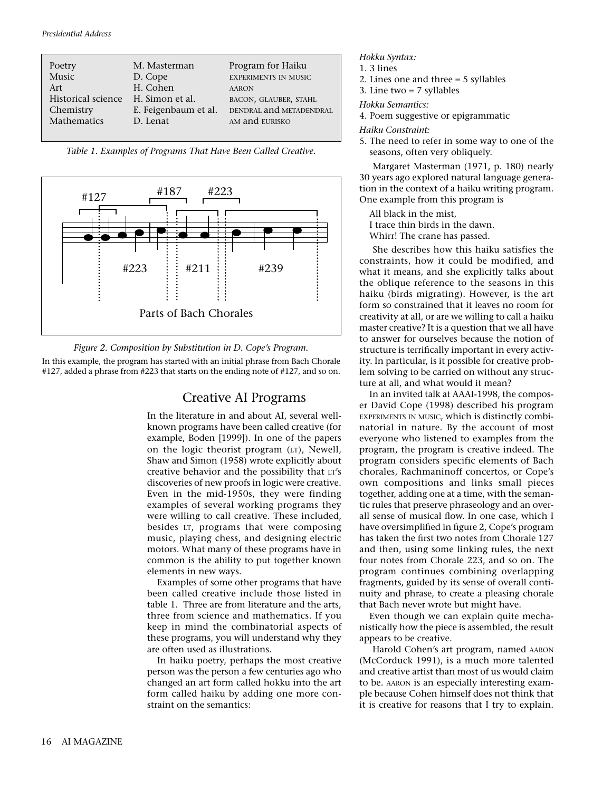| Poetry             | M. Masterman         | Program for Haiku           |
|--------------------|----------------------|-----------------------------|
| Music              | D. Cope              | <b>EXPERIMENTS IN MUSIC</b> |
| Art                | H. Cohen             | <b>AARON</b>                |
| Historical science | H. Simon et al.      | BACON, GLAUBER, STAHL       |
| Chemistry          | E. Feigenbaum et al. | DENDRAL and METADENDRAL     |
| Mathematics        | D. Lenat             | AM and EURISKO              |
|                    |                      |                             |

*Table 1. Examples of Programs That Have Been Called Creative.*





In this example, the program has started with an initial phrase from Bach Chorale #127, added a phrase from #223 that starts on the ending note of #127, and so on.

## Creative AI Programs

In the literature in and about AI, several wellknown programs have been called creative (for example, Boden [1999]). In one of the papers on the logic theorist program (LT), Newell, Shaw and Simon (1958) wrote explicitly about creative behavior and the possibility that LT's discoveries of new proofs in logic were creative. Even in the mid-1950s, they were finding examples of several working programs they were willing to call creative. These included, besides LT, programs that were composing music, playing chess, and designing electric motors. What many of these programs have in common is the ability to put together known elements in new ways.

Examples of some other programs that have been called creative include those listed in table 1. Three are from literature and the arts, three from science and mathematics. If you keep in mind the combinatorial aspects of these programs, you will understand why they are often used as illustrations.

In haiku poetry, perhaps the most creative person was the person a few centuries ago who changed an art form called hokku into the art form called haiku by adding one more constraint on the semantics:

*Hokku Syntax:*

- 1. 3 lines
- 2. Lines one and three = 5 syllables
- 3. Line two = 7 syllables

*Hokku Semantics:*

4. Poem suggestive or epigrammatic

*Haiku Constraint:*

5. The need to refer in some way to one of the seasons, often very obliquely.

Margaret Masterman (1971, p. 180) nearly 30 years ago explored natural language generation in the context of a haiku writing program. One example from this program is

- All black in the mist,
- I trace thin birds in the dawn.
- Whirr! The crane has passed.

She describes how this haiku satisfies the constraints, how it could be modified, and what it means, and she explicitly talks about the oblique reference to the seasons in this haiku (birds migrating). However, is the art form so constrained that it leaves no room for creativity at all, or are we willing to call a haiku master creative? It is a question that we all have to answer for ourselves because the notion of structure is terrifically important in every activity. In particular, is it possible for creative problem solving to be carried on without any structure at all, and what would it mean?

In an invited talk at AAAI-1998, the composer David Cope (1998) described his program EXPERIMENTS IN MUSIC, which is distinctly combinatorial in nature. By the account of most everyone who listened to examples from the program, the program is creative indeed. The program considers specific elements of Bach chorales, Rachmaninoff concertos, or Cope's own compositions and links small pieces together, adding one at a time, with the semantic rules that preserve phraseology and an overall sense of musical flow. In one case, which I have oversimplified in figure 2, Cope's program has taken the first two notes from Chorale 127 and then, using some linking rules, the next four notes from Chorale 223, and so on. The program continues combining overlapping fragments, guided by its sense of overall continuity and phrase, to create a pleasing chorale that Bach never wrote but might have.

Even though we can explain quite mechanistically how the piece is assembled, the result appears to be creative.

Harold Cohen's art program, named AARON (McCorduck 1991), is a much more talented and creative artist than most of us would claim to be. AARON is an especially interesting example because Cohen himself does not think that it is creative for reasons that I try to explain.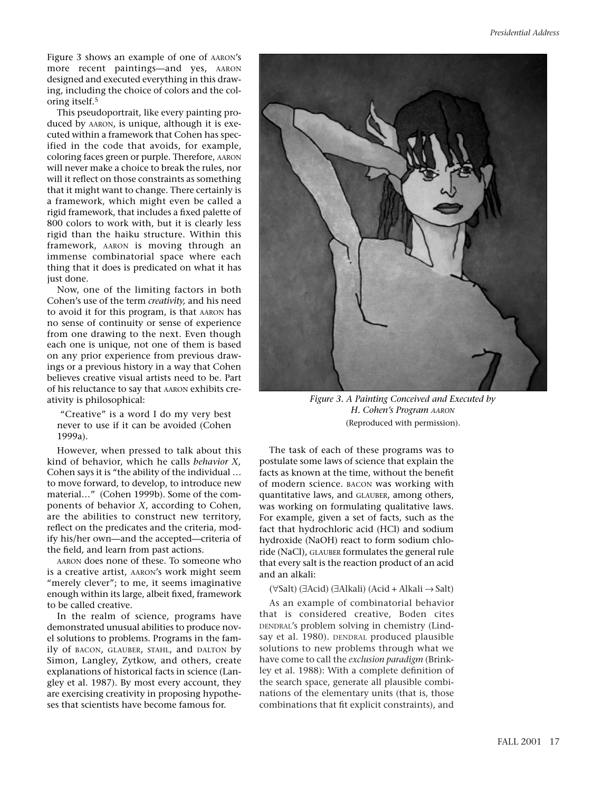Figure 3 shows an example of one of AARON's more recent paintings—and yes, AARON designed and executed everything in this drawing, including the choice of colors and the coloring itself.5

This pseudoportrait, like every painting produced by AARON, is unique, although it is executed within a framework that Cohen has specified in the code that avoids, for example, coloring faces green or purple. Therefore, AARON will never make a choice to break the rules, nor will it reflect on those constraints as something that it might want to change. There certainly is a framework, which might even be called a rigid framework, that includes a fixed palette of 800 colors to work with, but it is clearly less rigid than the haiku structure. Within this framework, AARON is moving through an immense combinatorial space where each thing that it does is predicated on what it has just done.

Now, one of the limiting factors in both Cohen's use of the term *creativity,* and his need to avoid it for this program, is that AARON has no sense of continuity or sense of experience from one drawing to the next. Even though each one is unique, not one of them is based on any prior experience from previous drawings or a previous history in a way that Cohen believes creative visual artists need to be. Part of his reluctance to say that AARON exhibits creativity is philosophical:

"Creative" is a word I do my very best never to use if it can be avoided (Cohen 1999a).

However, when pressed to talk about this kind of behavior, which he calls *behavior X,* Cohen says it is "the ability of the individual … to move forward, to develop, to introduce new material…" (Cohen 1999b). Some of the components of behavior *X*, according to Cohen, are the abilities to construct new territory, reflect on the predicates and the criteria, modify his/her own—and the accepted—criteria of the field, and learn from past actions.

AARON does none of these. To someone who is a creative artist, AARON's work might seem "merely clever"; to me, it seems imaginative enough within its large, albeit fixed, framework to be called creative.

In the realm of science, programs have demonstrated unusual abilities to produce novel solutions to problems. Programs in the family of BACON, GLAUBER, STAHL, and DALTON by Simon, Langley, Zytkow, and others, create explanations of historical facts in science (Langley et al. 1987). By most every account, they are exercising creativity in proposing hypotheses that scientists have become famous for.



*Figure 3. A Painting Conceived and Executed by H. Cohen's Program AARON* (Reproduced with permission).

The task of each of these programs was to postulate some laws of science that explain the facts as known at the time, without the benefit of modern science. BACON was working with quantitative laws, and GLAUBER, among others, was working on formulating qualitative laws. For example, given a set of facts, such as the fact that hydrochloric acid (HCl) and sodium hydroxide (NaOH) react to form sodium chloride (NaCl), GLAUBER formulates the general rule that every salt is the reaction product of an acid and an alkali:

(∀Salt) (∃Acid) (∃Alkali) (Acid + Alkali → Salt)

As an example of combinatorial behavior that is considered creative, Boden cites DENDRAL's problem solving in chemistry (Lindsay et al. 1980). DENDRAL produced plausible solutions to new problems through what we have come to call the *exclusion paradigm* (Brinkley et al. 1988): With a complete definition of the search space, generate all plausible combinations of the elementary units (that is, those combinations that fit explicit constraints), and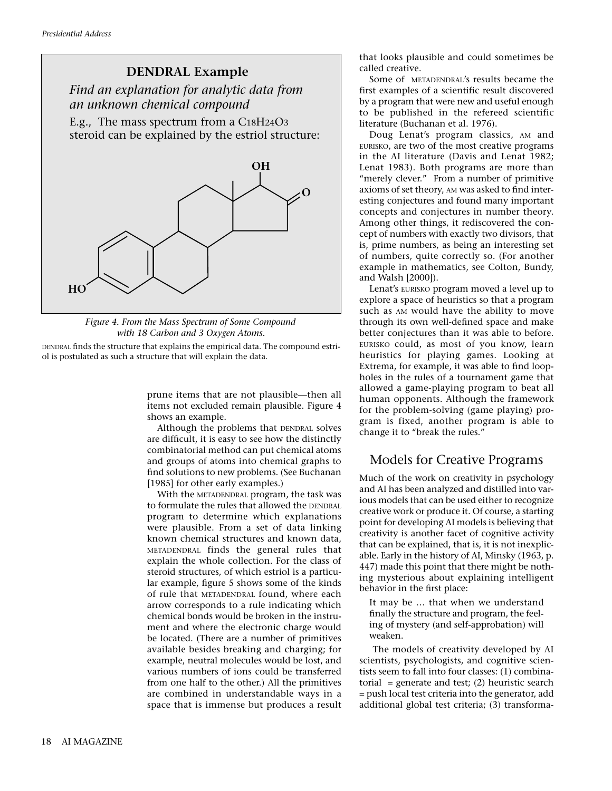

*Figure 4. From the Mass Spectrum of Some Compound with 18 Carbon and 3 Oxygen Atoms.*

DENDRAL finds the structure that explains the empirical data. The compound estriol is postulated as such a structure that will explain the data.

> prune items that are not plausible—then all items not excluded remain plausible. Figure 4 shows an example.

> Although the problems that DENDRAL solves are difficult, it is easy to see how the distinctly combinatorial method can put chemical atoms and groups of atoms into chemical graphs to find solutions to new problems. (See Buchanan [1985] for other early examples.)

> With the METADENDRAL program, the task was to formulate the rules that allowed the DENDRAL program to determine which explanations were plausible. From a set of data linking known chemical structures and known data, METADENDRAL finds the general rules that explain the whole collection. For the class of steroid structures, of which estriol is a particular example, figure 5 shows some of the kinds of rule that METADENDRAL found, where each arrow corresponds to a rule indicating which chemical bonds would be broken in the instrument and where the electronic charge would be located. (There are a number of primitives available besides breaking and charging; for example, neutral molecules would be lost, and various numbers of ions could be transferred from one half to the other.) All the primitives are combined in understandable ways in a space that is immense but produces a result

that looks plausible and could sometimes be called creative.

Some of METADENDRAL's results became the first examples of a scientific result discovered by a program that were new and useful enough to be published in the refereed scientific literature (Buchanan et al. 1976).

Doug Lenat's program classics, AM and EURISKO, are two of the most creative programs in the AI literature (Davis and Lenat 1982; Lenat 1983). Both programs are more than "merely clever." From a number of primitive axioms of set theory, AM was asked to find interesting conjectures and found many important concepts and conjectures in number theory. Among other things, it rediscovered the concept of numbers with exactly two divisors, that is, prime numbers, as being an interesting set of numbers, quite correctly so. (For another example in mathematics, see Colton, Bundy, and Walsh [2000]).

Lenat's EURISKO program moved a level up to explore a space of heuristics so that a program such as AM would have the ability to move through its own well-defined space and make better conjectures than it was able to before. EURISKO could, as most of you know, learn heuristics for playing games. Looking at Extrema, for example, it was able to find loopholes in the rules of a tournament game that allowed a game-playing program to beat all human opponents. Although the framework for the problem-solving (game playing) program is fixed, another program is able to change it to "break the rules."

# Models for Creative Programs

Much of the work on creativity in psychology and AI has been analyzed and distilled into various models that can be used either to recognize creative work or produce it. Of course, a starting point for developing AI models is believing that creativity is another facet of cognitive activity that can be explained, that is, it is not inexplicable. Early in the history of AI, Minsky (1963, p. 447) made this point that there might be nothing mysterious about explaining intelligent behavior in the first place:

It may be … that when we understand finally the structure and program, the feeling of mystery (and self-approbation) will weaken.

The models of creativity developed by AI scientists, psychologists, and cognitive scientists seem to fall into four classes: (1) combinatorial = generate and test;  $(2)$  heuristic search = push local test criteria into the generator, add additional global test criteria; (3) transforma-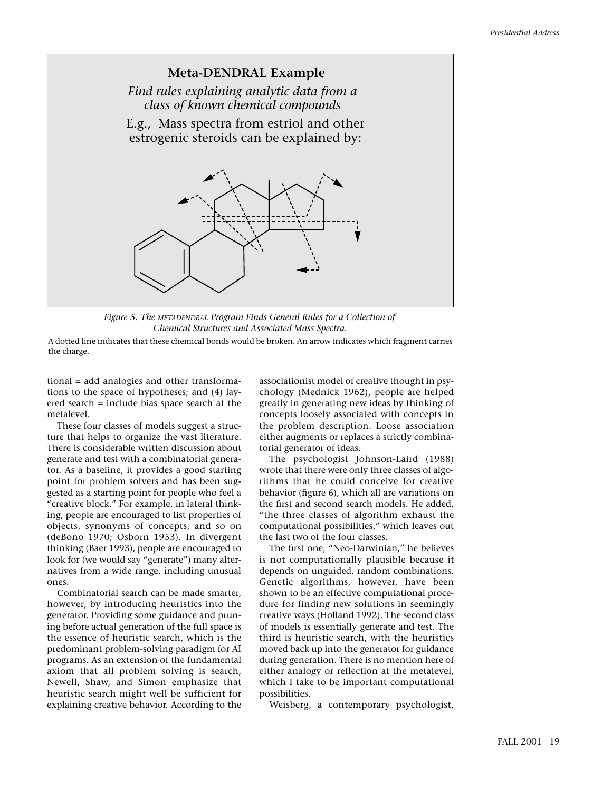

*Figure 5. The METADENDRAL Program Finds General Rules for a Collection of Chemical Structures and Associated Mass Spectra.*

A dotted line indicates that these chemical bonds would be broken. An arrow indicates which fragment carries the charge.

tional = add analogies and other transformations to the space of hypotheses; and (4) layered search = include bias space search at the metalevel.

These four classes of models suggest a structure that helps to organize the vast literature. There is considerable written discussion about generate and test with a combinatorial generator. As a baseline, it provides a good starting point for problem solvers and has been suggested as a starting point for people who feel a "creative block." For example, in lateral thinking, people are encouraged to list properties of objects, synonyms of concepts, and so on (deBono 1970; Osborn 1953). In divergent thinking (Baer 1993), people are encouraged to look for (we would say "generate") many alternatives from a wide range, including unusual ones.

Combinatorial search can be made smarter, however, by introducing heuristics into the generator. Providing some guidance and pruning before actual generation of the full space is the essence of heuristic search, which is the predominant problem-solving paradigm for AI programs. As an extension of the fundamental axiom that all problem solving is search, Newell, Shaw, and Simon emphasize that heuristic search might well be sufficient for explaining creative behavior. According to the associationist model of creative thought in psychology (Mednick 1962), people are helped greatly in generating new ideas by thinking of concepts loosely associated with concepts in the problem description. Loose association either augments or replaces a strictly combinatorial generator of ideas.

The psychologist Johnson-Laird (1988) wrote that there were only three classes of algorithms that he could conceive for creative behavior (figure 6), which all are variations on the first and second search models. He added, "the three classes of algorithm exhaust the computational possibilities," which leaves out the last two of the four classes.

The first one, "Neo-Darwinian," he believes is not computationally plausible because it depends on unguided, random combinations. Genetic algorithms, however, have been shown to be an effective computational procedure for finding new solutions in seemingly creative ways (Holland 1992). The second class of models is essentially generate and test. The third is heuristic search, with the heuristics moved back up into the generator for guidance during generation. There is no mention here of either analogy or reflection at the metalevel, which I take to be important computational possibilities.

Weisberg, a contemporary psychologist,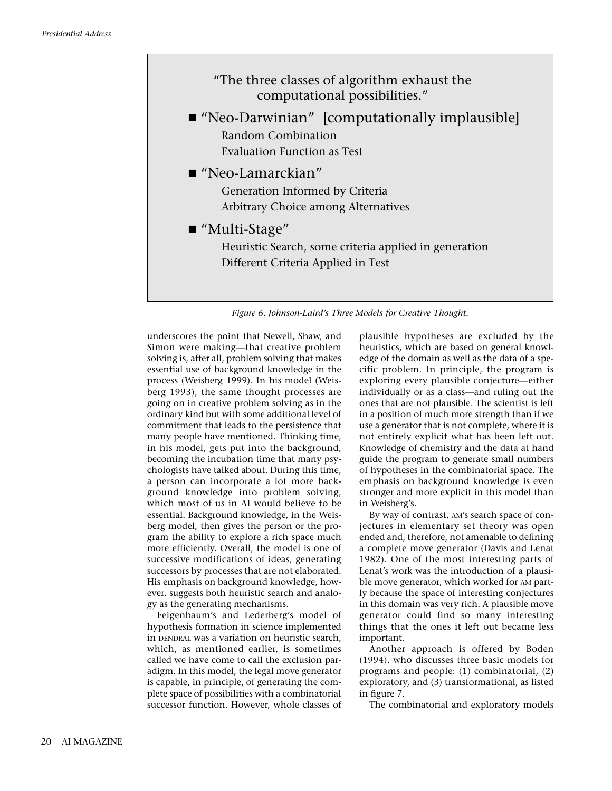

*Figure 6. Johnson-Laird's Three Models for Creative Thought.*

underscores the point that Newell, Shaw, and Simon were making—that creative problem solving is, after all, problem solving that makes essential use of background knowledge in the process (Weisberg 1999). In his model (Weisberg 1993), the same thought processes are going on in creative problem solving as in the ordinary kind but with some additional level of commitment that leads to the persistence that many people have mentioned. Thinking time, in his model, gets put into the background, becoming the incubation time that many psychologists have talked about. During this time, a person can incorporate a lot more background knowledge into problem solving, which most of us in AI would believe to be essential. Background knowledge, in the Weisberg model, then gives the person or the program the ability to explore a rich space much more efficiently. Overall, the model is one of successive modifications of ideas, generating successors by processes that are not elaborated. His emphasis on background knowledge, however, suggests both heuristic search and analogy as the generating mechanisms.

Feigenbaum's and Lederberg's model of hypothesis formation in science implemented in DENDRAL was a variation on heuristic search, which, as mentioned earlier, is sometimes called we have come to call the exclusion paradigm. In this model, the legal move generator is capable, in principle, of generating the complete space of possibilities with a combinatorial successor function. However, whole classes of plausible hypotheses are excluded by the heuristics, which are based on general knowledge of the domain as well as the data of a specific problem. In principle, the program is exploring every plausible conjecture—either individually or as a class—and ruling out the ones that are not plausible. The scientist is left in a position of much more strength than if we use a generator that is not complete, where it is not entirely explicit what has been left out. Knowledge of chemistry and the data at hand guide the program to generate small numbers of hypotheses in the combinatorial space. The emphasis on background knowledge is even stronger and more explicit in this model than in Weisberg's.

By way of contrast, AM's search space of conjectures in elementary set theory was open ended and, therefore, not amenable to defining a complete move generator (Davis and Lenat 1982). One of the most interesting parts of Lenat's work was the introduction of a plausible move generator, which worked for AM partly because the space of interesting conjectures in this domain was very rich. A plausible move generator could find so many interesting things that the ones it left out became less important.

Another approach is offered by Boden (1994), who discusses three basic models for programs and people: (1) combinatorial, (2) exploratory, and (3) transformational, as listed in figure 7.

The combinatorial and exploratory models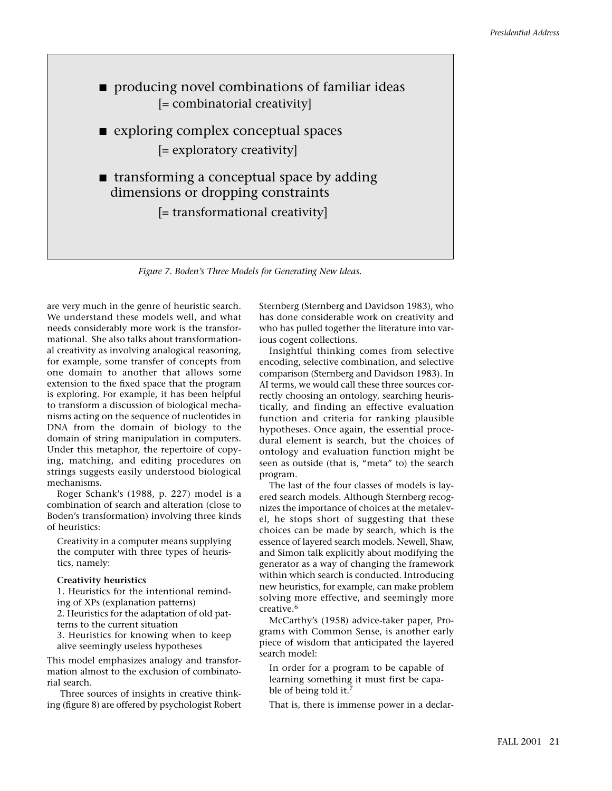

*Figure 7. Boden's Three Models for Generating New Ideas.*

are very much in the genre of heuristic search. We understand these models well, and what needs considerably more work is the transformational. She also talks about transformational creativity as involving analogical reasoning, for example, some transfer of concepts from one domain to another that allows some extension to the fixed space that the program is exploring. For example, it has been helpful to transform a discussion of biological mechanisms acting on the sequence of nucleotides in DNA from the domain of biology to the domain of string manipulation in computers. Under this metaphor, the repertoire of copying, matching, and editing procedures on strings suggests easily understood biological mechanisms.

Roger Schank's (1988, p. 227) model is a combination of search and alteration (close to Boden's transformation) involving three kinds of heuristics:

Creativity in a computer means supplying the computer with three types of heuristics, namely:

#### **Creativity heuristics**

1. Heuristics for the intentional reminding of XPs (explanation patterns) 2. Heuristics for the adaptation of old patterns to the current situation

3. Heuristics for knowing when to keep alive seemingly useless hypotheses

This model emphasizes analogy and transformation almost to the exclusion of combinatorial search.

Three sources of insights in creative thinking (figure 8) are offered by psychologist Robert Sternberg (Sternberg and Davidson 1983), who has done considerable work on creativity and who has pulled together the literature into various cogent collections.

Insightful thinking comes from selective encoding, selective combination, and selective comparison (Sternberg and Davidson 1983). In AI terms, we would call these three sources correctly choosing an ontology, searching heuristically, and finding an effective evaluation function and criteria for ranking plausible hypotheses. Once again, the essential procedural element is search, but the choices of ontology and evaluation function might be seen as outside (that is, "meta" to) the search program.

The last of the four classes of models is layered search models. Although Sternberg recognizes the importance of choices at the metalevel, he stops short of suggesting that these choices can be made by search, which is the essence of layered search models. Newell, Shaw, and Simon talk explicitly about modifying the generator as a way of changing the framework within which search is conducted. Introducing new heuristics, for example, can make problem solving more effective, and seemingly more creative.6

McCarthy's (1958) advice-taker paper, Programs with Common Sense, is another early piece of wisdom that anticipated the layered search model:

In order for a program to be capable of learning something it must first be capable of being told it.<sup>7</sup>

That is, there is immense power in a declar-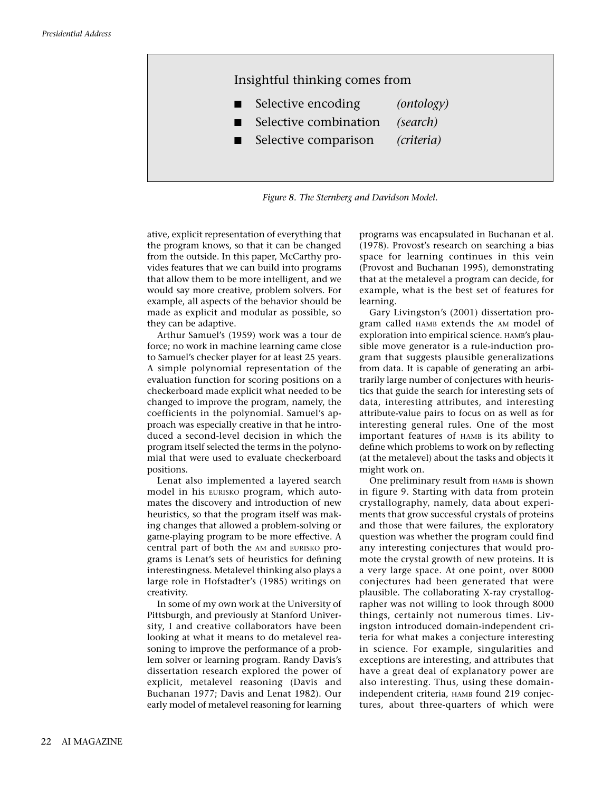

*Figure 8. The Sternberg and Davidson Model.*

ative, explicit representation of everything that the program knows, so that it can be changed from the outside. In this paper, McCarthy provides features that we can build into programs that allow them to be more intelligent, and we would say more creative, problem solvers. For example, all aspects of the behavior should be made as explicit and modular as possible, so they can be adaptive.

Arthur Samuel's (1959) work was a tour de force; no work in machine learning came close to Samuel's checker player for at least 25 years. A simple polynomial representation of the evaluation function for scoring positions on a checkerboard made explicit what needed to be changed to improve the program, namely, the coefficients in the polynomial. Samuel's approach was especially creative in that he introduced a second-level decision in which the program itself selected the terms in the polynomial that were used to evaluate checkerboard positions.

Lenat also implemented a layered search model in his EURISKO program, which automates the discovery and introduction of new heuristics, so that the program itself was making changes that allowed a problem-solving or game-playing program to be more effective. A central part of both the AM and EURISKO programs is Lenat's sets of heuristics for defining interestingness. Metalevel thinking also plays a large role in Hofstadter's (1985) writings on creativity.

In some of my own work at the University of Pittsburgh, and previously at Stanford University, I and creative collaborators have been looking at what it means to do metalevel reasoning to improve the performance of a problem solver or learning program. Randy Davis's dissertation research explored the power of explicit, metalevel reasoning (Davis and Buchanan 1977; Davis and Lenat 1982). Our early model of metalevel reasoning for learning programs was encapsulated in Buchanan et al. (1978). Provost's research on searching a bias space for learning continues in this vein (Provost and Buchanan 1995), demonstrating that at the metalevel a program can decide, for example, what is the best set of features for learning.

Gary Livingston's (2001) dissertation program called HAMB extends the AM model of exploration into empirical science. HAMB's plausible move generator is a rule-induction program that suggests plausible generalizations from data. It is capable of generating an arbitrarily large number of conjectures with heuristics that guide the search for interesting sets of data, interesting attributes, and interesting attribute-value pairs to focus on as well as for interesting general rules. One of the most important features of HAMB is its ability to define which problems to work on by reflecting (at the metalevel) about the tasks and objects it might work on.

One preliminary result from HAMB is shown in figure 9. Starting with data from protein crystallography, namely, data about experiments that grow successful crystals of proteins and those that were failures, the exploratory question was whether the program could find any interesting conjectures that would promote the crystal growth of new proteins. It is a very large space. At one point, over 8000 conjectures had been generated that were plausible. The collaborating X-ray crystallographer was not willing to look through 8000 things, certainly not numerous times. Livingston introduced domain-independent criteria for what makes a conjecture interesting in science. For example, singularities and exceptions are interesting, and attributes that have a great deal of explanatory power are also interesting. Thus, using these domainindependent criteria, HAMB found 219 conjectures, about three-quarters of which were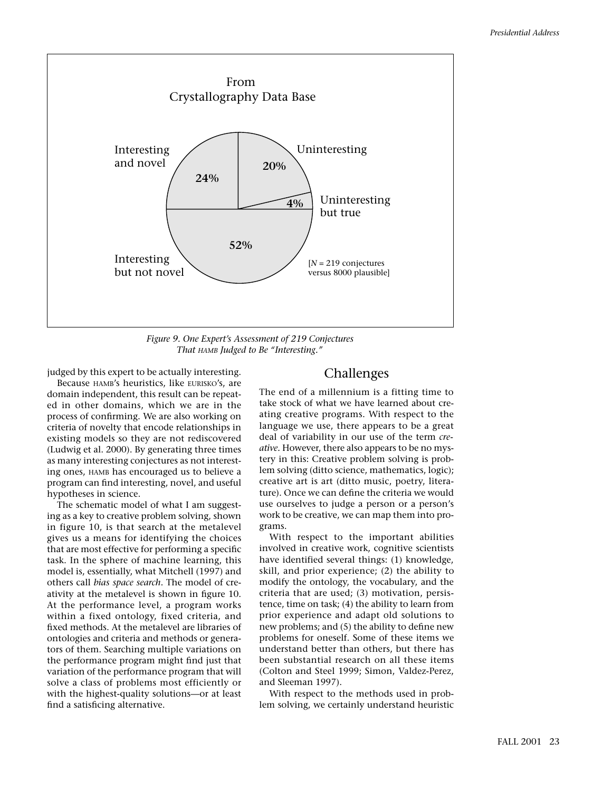

*Figure 9. One Expert's Assessment of 219 Conjectures That HAMB Judged to Be "Interesting."*

judged by this expert to be actually interesting.

Because HAMB's heuristics, like EURISKO's, are domain independent, this result can be repeated in other domains, which we are in the process of confirming. We are also working on criteria of novelty that encode relationships in existing models so they are not rediscovered (Ludwig et al. 2000). By generating three times as many interesting conjectures as not interesting ones, HAMB has encouraged us to believe a program can find interesting, novel, and useful hypotheses in science.

The schematic model of what I am suggesting as a key to creative problem solving, shown in figure 10, is that search at the metalevel gives us a means for identifying the choices that are most effective for performing a specific task. In the sphere of machine learning, this model is, essentially, what Mitchell (1997) and others call *bias space search*. The model of creativity at the metalevel is shown in figure 10. At the performance level, a program works within a fixed ontology, fixed criteria, and fixed methods. At the metalevel are libraries of ontologies and criteria and methods or generators of them. Searching multiple variations on the performance program might find just that variation of the performance program that will solve a class of problems most efficiently or with the highest-quality solutions—or at least find a satisficing alternative.

# Challenges

The end of a millennium is a fitting time to take stock of what we have learned about creating creative programs. With respect to the language we use, there appears to be a great deal of variability in our use of the term *creative.* However, there also appears to be no mystery in this: Creative problem solving is problem solving (ditto science, mathematics, logic); creative art is art (ditto music, poetry, literature). Once we can define the criteria we would use ourselves to judge a person or a person's work to be creative, we can map them into programs.

With respect to the important abilities involved in creative work, cognitive scientists have identified several things: (1) knowledge, skill, and prior experience; (2) the ability to modify the ontology, the vocabulary, and the criteria that are used; (3) motivation, persistence, time on task; (4) the ability to learn from prior experience and adapt old solutions to new problems; and (5) the ability to define new problems for oneself. Some of these items we understand better than others, but there has been substantial research on all these items (Colton and Steel 1999; Simon, Valdez-Perez, and Sleeman 1997).

With respect to the methods used in problem solving, we certainly understand heuristic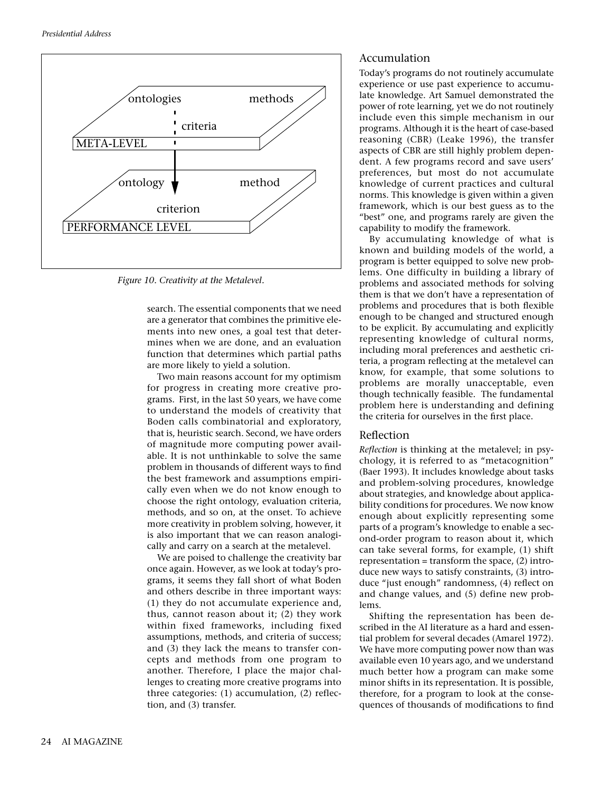

*Figure 10. Creativity at the Metalevel.*

search. The essential components that we need are a generator that combines the primitive elements into new ones, a goal test that determines when we are done, and an evaluation function that determines which partial paths are more likely to yield a solution.

Two main reasons account for my optimism for progress in creating more creative programs. First, in the last 50 years, we have come to understand the models of creativity that Boden calls combinatorial and exploratory, that is, heuristic search. Second, we have orders of magnitude more computing power available. It is not unthinkable to solve the same problem in thousands of different ways to find the best framework and assumptions empirically even when we do not know enough to choose the right ontology, evaluation criteria, methods, and so on, at the onset. To achieve more creativity in problem solving, however, it is also important that we can reason analogically and carry on a search at the metalevel.

We are poised to challenge the creativity bar once again. However, as we look at today's programs, it seems they fall short of what Boden and others describe in three important ways: (1) they do not accumulate experience and, thus, cannot reason about it; (2) they work within fixed frameworks, including fixed assumptions, methods, and criteria of success; and (3) they lack the means to transfer concepts and methods from one program to another. Therefore, I place the major challenges to creating more creative programs into three categories: (1) accumulation, (2) reflection, and (3) transfer.

## Accumulation

Today's programs do not routinely accumulate experience or use past experience to accumulate knowledge. Art Samuel demonstrated the power of rote learning, yet we do not routinely include even this simple mechanism in our programs. Although it is the heart of case-based reasoning (CBR) (Leake 1996), the transfer aspects of CBR are still highly problem dependent. A few programs record and save users' preferences, but most do not accumulate knowledge of current practices and cultural norms. This knowledge is given within a given framework, which is our best guess as to the "best" one, and programs rarely are given the capability to modify the framework.

By accumulating knowledge of what is known and building models of the world, a program is better equipped to solve new problems. One difficulty in building a library of problems and associated methods for solving them is that we don't have a representation of problems and procedures that is both flexible enough to be changed and structured enough to be explicit. By accumulating and explicitly representing knowledge of cultural norms, including moral preferences and aesthetic criteria, a program reflecting at the metalevel can know, for example, that some solutions to problems are morally unacceptable, even though technically feasible. The fundamental problem here is understanding and defining the criteria for ourselves in the first place.

## Reflection

*Reflection* is thinking at the metalevel; in psychology, it is referred to as "metacognition" (Baer 1993). It includes knowledge about tasks and problem-solving procedures, knowledge about strategies, and knowledge about applicability conditions for procedures. We now know enough about explicitly representing some parts of a program's knowledge to enable a second-order program to reason about it, which can take several forms, for example, (1) shift representation = transform the space,  $(2)$  introduce new ways to satisfy constraints, (3) introduce "just enough" randomness, (4) reflect on and change values, and (5) define new problems.

Shifting the representation has been described in the AI literature as a hard and essential problem for several decades (Amarel 1972). We have more computing power now than was available even 10 years ago, and we understand much better how a program can make some minor shifts in its representation. It is possible, therefore, for a program to look at the consequences of thousands of modifications to find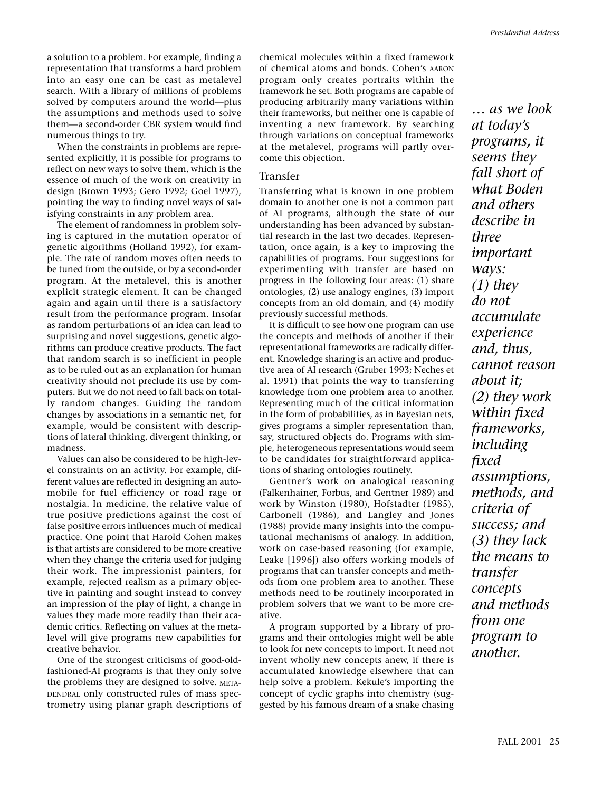a solution to a problem. For example, finding a representation that transforms a hard problem into an easy one can be cast as metalevel search. With a library of millions of problems solved by computers around the world—plus the assumptions and methods used to solve them—a second-order CBR system would find numerous things to try.

When the constraints in problems are represented explicitly, it is possible for programs to reflect on new ways to solve them, which is the essence of much of the work on creativity in design (Brown 1993; Gero 1992; Goel 1997), pointing the way to finding novel ways of satisfying constraints in any problem area.

The element of randomness in problem solving is captured in the mutation operator of genetic algorithms (Holland 1992), for example. The rate of random moves often needs to be tuned from the outside, or by a second-order program. At the metalevel, this is another explicit strategic element. It can be changed again and again until there is a satisfactory result from the performance program. Insofar as random perturbations of an idea can lead to surprising and novel suggestions, genetic algorithms can produce creative products. The fact that random search is so inefficient in people as to be ruled out as an explanation for human creativity should not preclude its use by computers. But we do not need to fall back on totally random changes. Guiding the random changes by associations in a semantic net, for example, would be consistent with descriptions of lateral thinking, divergent thinking, or madness.

Values can also be considered to be high-level constraints on an activity. For example, different values are reflected in designing an automobile for fuel efficiency or road rage or nostalgia. In medicine, the relative value of true positive predictions against the cost of false positive errors influences much of medical practice. One point that Harold Cohen makes is that artists are considered to be more creative when they change the criteria used for judging their work. The impressionist painters, for example, rejected realism as a primary objective in painting and sought instead to convey an impression of the play of light, a change in values they made more readily than their academic critics. Reflecting on values at the metalevel will give programs new capabilities for creative behavior.

One of the strongest criticisms of good-oldfashioned-AI programs is that they only solve the problems they are designed to solve. META-DENDRAL only constructed rules of mass spectrometry using planar graph descriptions of chemical molecules within a fixed framework of chemical atoms and bonds. Cohen's AARON program only creates portraits within the framework he set. Both programs are capable of producing arbitrarily many variations within their frameworks, but neither one is capable of inventing a new framework. By searching through variations on conceptual frameworks at the metalevel, programs will partly overcome this objection.

## Transfer

Transferring what is known in one problem domain to another one is not a common part of AI programs, although the state of our understanding has been advanced by substantial research in the last two decades. Representation, once again, is a key to improving the capabilities of programs. Four suggestions for experimenting with transfer are based on progress in the following four areas: (1) share ontologies, (2) use analogy engines, (3) import concepts from an old domain, and (4) modify previously successful methods.

It is difficult to see how one program can use the concepts and methods of another if their representational frameworks are radically different. Knowledge sharing is an active and productive area of AI research (Gruber 1993; Neches et al. 1991) that points the way to transferring knowledge from one problem area to another. Representing much of the critical information in the form of probabilities, as in Bayesian nets, gives programs a simpler representation than, say, structured objects do. Programs with simple, heterogeneous representations would seem to be candidates for straightforward applications of sharing ontologies routinely.

Gentner's work on analogical reasoning (Falkenhainer, Forbus, and Gentner 1989) and work by Winston (1980), Hofstadter (1985), Carbonell (1986), and Langley and Jones (1988) provide many insights into the computational mechanisms of analogy. In addition, work on case-based reasoning (for example, Leake [1996]) also offers working models of programs that can transfer concepts and methods from one problem area to another. These methods need to be routinely incorporated in problem solvers that we want to be more creative.

A program supported by a library of programs and their ontologies might well be able to look for new concepts to import. It need not invent wholly new concepts anew, if there is accumulated knowledge elsewhere that can help solve a problem. Kekule's importing the concept of cyclic graphs into chemistry (suggested by his famous dream of a snake chasing

*… as we look at today's programs, it seems they fall short of what Boden and others describe in three important ways: (1) they do not accumulate experience and, thus, cannot reason about it; (2) they work within fixed frameworks, including fixed assumptions, methods, and criteria of success; and (3) they lack the means to transfer concepts and methods from one program to another.*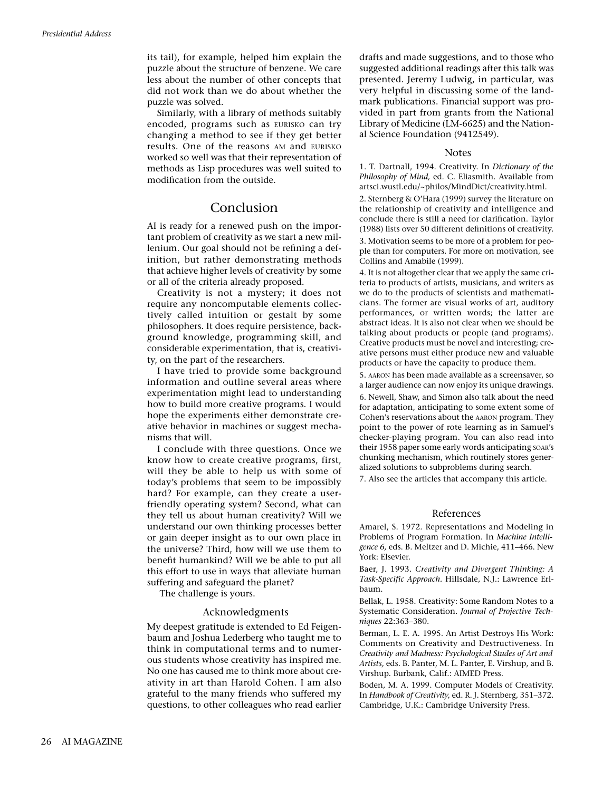its tail), for example, helped him explain the puzzle about the structure of benzene. We care less about the number of other concepts that did not work than we do about whether the puzzle was solved.

Similarly, with a library of methods suitably encoded, programs such as EURISKO can try changing a method to see if they get better results. One of the reasons AM and EURISKO worked so well was that their representation of methods as Lisp procedures was well suited to modification from the outside.

# Conclusion

AI is ready for a renewed push on the important problem of creativity as we start a new millenium. Our goal should not be refining a definition, but rather demonstrating methods that achieve higher levels of creativity by some or all of the criteria already proposed.

Creativity is not a mystery; it does not require any noncomputable elements collectively called intuition or gestalt by some philosophers. It does require persistence, background knowledge, programming skill, and considerable experimentation, that is, creativity, on the part of the researchers.

I have tried to provide some background information and outline several areas where experimentation might lead to understanding how to build more creative programs. I would hope the experiments either demonstrate creative behavior in machines or suggest mechanisms that will.

I conclude with three questions. Once we know how to create creative programs, first, will they be able to help us with some of today's problems that seem to be impossibly hard? For example, can they create a userfriendly operating system? Second, what can they tell us about human creativity? Will we understand our own thinking processes better or gain deeper insight as to our own place in the universe? Third, how will we use them to benefit humankind? Will we be able to put all this effort to use in ways that alleviate human suffering and safeguard the planet?

The challenge is yours.

#### Acknowledgments

My deepest gratitude is extended to Ed Feigenbaum and Joshua Lederberg who taught me to think in computational terms and to numerous students whose creativity has inspired me. No one has caused me to think more about creativity in art than Harold Cohen. I am also grateful to the many friends who suffered my questions, to other colleagues who read earlier drafts and made suggestions, and to those who suggested additional readings after this talk was presented. Jeremy Ludwig, in particular, was very helpful in discussing some of the landmark publications. Financial support was provided in part from grants from the National Library of Medicine (LM-6625) and the National Science Foundation (9412549).

#### Notes

1. T. Dartnall, 1994. Creativity. In *Dictionary of the Philosophy of Mind,* ed. C. Eliasmith. Available from artsci.wustl.edu/~philos/MindDict/creativity.html.

2. Sternberg & O'Hara (1999) survey the literature on the relationship of creativity and intelligence and conclude there is still a need for clarification. Taylor (1988) lists over 50 different definitions of creativity. 3. Motivation seems to be more of a problem for people than for computers. For more on motivation, see Collins and Amabile (1999).

4. It is not altogether clear that we apply the same criteria to products of artists, musicians, and writers as we do to the products of scientists and mathematicians. The former are visual works of art, auditory performances, or written words; the latter are abstract ideas. It is also not clear when we should be talking about products or people (and programs). Creative products must be novel and interesting; creative persons must either produce new and valuable products or have the capacity to produce them.

5. AARON has been made available as a screensaver, so a larger audience can now enjoy its unique drawings. 6. Newell, Shaw, and Simon also talk about the need for adaptation, anticipating to some extent some of Cohen's reservations about the AARON program. They point to the power of rote learning as in Samuel's checker-playing program. You can also read into their 1958 paper some early words anticipating SOAR's chunking mechanism, which routinely stores generalized solutions to subproblems during search.

7. Also see the articles that accompany this article.

#### References

Amarel, S. 1972. Representations and Modeling in Problems of Program Formation. In *Machine Intelligence 6,* eds. B. Meltzer and D. Michie, 411–466. New York: Elsevier.

Baer, J. 1993. *Creativity and Divergent Thinking: A Task-Specific Approach.* Hillsdale, N.J.: Lawrence Erlbaum.

Bellak, L. 1958. Creativity: Some Random Notes to a Systematic Consideration. *Journal of Projective Techniques* 22:363–380.

Berman, L. E. A. 1995. An Artist Destroys His Work: Comments on Creativity and Destructiveness. In *Creativity and Madness: Psychological Studes of Art and Artists,* eds. B. Panter, M. L. Panter, E. Virshup, and B. Virshup*.* Burbank, Calif.: AIMED Press.

Boden, M. A. 1999. Computer Models of Creativity. In *Handbook of Creativity,* ed. R. J. Sternberg, 351–372. Cambridge, U.K.: Cambridge University Press.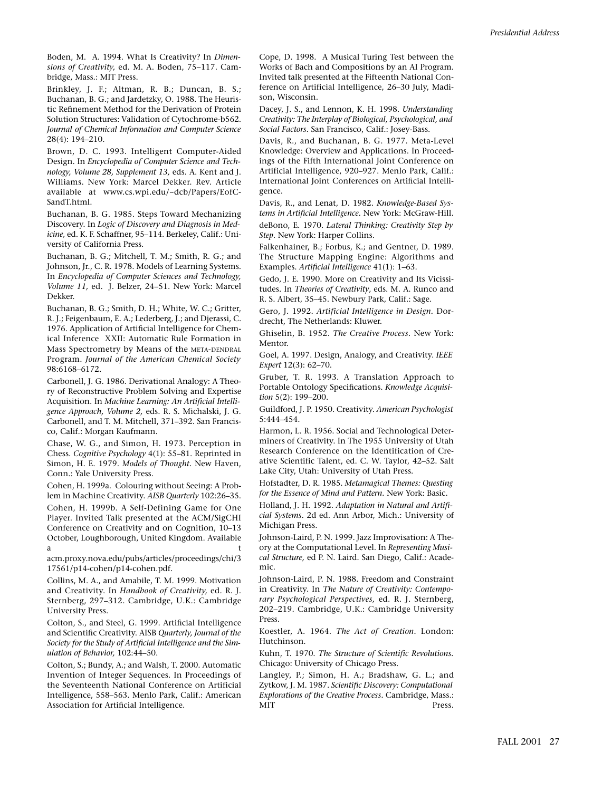Boden, M. A. 1994. What Is Creativity? In *Dimensions of Creativity,* ed. M. A. Boden, 75–117. Cambridge, Mass.: MIT Press.

Brinkley, J. F.; Altman, R. B.; Duncan, B. S.; Buchanan, B. G.; and Jardetzky, O. 1988. The Heuristic Refinement Method for the Derivation of Protein Solution Structures: Validation of Cytochrome-b562. *Journal of Chemical Information and Computer Science* 28(4): 194–210.

Brown, D. C. 1993. Intelligent Computer-Aided Design. In *Encyclopedia of Computer Science and Technology, Volume 28, Supplement 13,* eds. A. Kent and J. Williams. New York: Marcel Dekker. Rev. Article available at www.cs.wpi.edu/~dcb/Papers/EofC-SandT<sub>html</sub>

Buchanan, B. G. 1985. Steps Toward Mechanizing Discovery. In *Logic of Discovery and Diagnosis in Medicine,* ed. K. F. Schaffner, 95–114. Berkeley, Calif.: University of California Press.

Buchanan, B. G.; Mitchell, T. M.; Smith, R. G.; and Johnson, Jr., C. R. 1978. Models of Learning Systems. In *Encyclopedia of Computer Sciences and Technology, Volume 11,* ed. J. Belzer, 24–51. New York: Marcel Dekker.

Buchanan, B. G.; Smith, D. H.; White, W. C.; Gritter, R. J.; Feigenbaum, E. A.; Lederberg, J.; and Djerassi, C. 1976. Application of Artificial Intelligence for Chemical Inference XXII: Automatic Rule Formation in Mass Spectrometry by Means of the META-DENDRAL Program. *Journal of the American Chemical Society* 98:6168–6172.

Carbonell, J. G. 1986. Derivational Analogy: A Theory of Reconstructive Problem Solving and Expertise Acquisition. In *Machine Learning: An Artificial Intelligence Approach, Volume 2,* eds. R. S. Michalski, J. G. Carbonell, and T. M. Mitchell, 371–392. San Francisco, Calif.: Morgan Kaufmann.

Chase, W. G., and Simon, H. 1973. Perception in Chess. *Cognitive Psychology* 4(1): 55–81. Reprinted in Simon, H. E. 1979. *Models of Thought.* New Haven, Conn.: Yale University Press.

Cohen, H. 1999a. Colouring without Seeing: A Problem in Machine Creativity. *AISB Quarterly* 102:26–35.

Cohen, H. 1999b. A Self-Defining Game for One Player. Invited Talk presented at the ACM/SigCHI Conference on Creativity and on Cognition, 10–13 October, Loughborough, United Kingdom. Available a the contract of the contract of the contract of the contract of the contract of the contract of the contract of the contract of the contract of the contract of the contract of the contract of the contract of the contract

acm.proxy.nova.edu/pubs/articles/proceedings/chi/3 17561/p14-cohen/p14-cohen.pdf.

Collins, M. A., and Amabile, T. M. 1999. Motivation and Creativity. In *Handbook of Creativity,* ed. R. J. Sternberg, 297–312. Cambridge, U.K.: Cambridge University Press.

Colton, S., and Steel, G. 1999. Artificial Intelligence and Scientific Creativity. AISB *Quarterly, Journal of the Society for the Study of Artificial Intelligence and the Simulation of Behavior,* 102:44–50.

Colton, S.; Bundy, A.; and Walsh, T. 2000. Automatic Invention of Integer Sequences. In Proceedings of the Seventeenth National Conference on Artificial Intelligence, 558–563. Menlo Park, Calif.: American Association for Artificial Intelligence.

Cope, D. 1998. A Musical Turing Test between the Works of Bach and Compositions by an AI Program. Invited talk presented at the Fifteenth National Conference on Artificial Intelligence, 26–30 July, Madison, Wisconsin.

Dacey, J. S., and Lennon, K. H. 1998. *Understanding Creativity: The Interplay of Biological, Psychological, and Social Factors.* San Francisco, Calif.: Josey-Bass.

Davis, R., and Buchanan, B. G. 1977. Meta-Level Knowledge: Overview and Applications. In Proceedings of the Fifth International Joint Conference on Artificial Intelligence, 920–927. Menlo Park, Calif.: International Joint Conferences on Artificial Intelligence.

Davis, R., and Lenat, D. 1982. *Knowledge-Based Systems in Artificial Intelligence.* New York: McGraw-Hill. deBono, E. 1970. *Lateral Thinking: Creativity Step by Step.* New York: Harper Collins.

Falkenhainer, B.; Forbus, K.; and Gentner, D. 1989. The Structure Mapping Engine: Algorithms and Examples. *Artificial Intelligence* 41(1): 1–63.

Gedo, J. E. 1990. More on Creativity and Its Vicissitudes. In *Theories of Creativity*, eds. M. A. Runco and R. S. Albert, 35–45. Newbury Park, Calif.: Sage.

Gero, J. 1992. *Artificial Intelligence in Design.* Dordrecht, The Netherlands: Kluwer.

Ghiselin, B. 1952. *The Creative Process.* New York: Mentor.

Goel, A. 1997. Design, Analogy, and Creativity. *IEEE Expert* 12(3): 62–70.

Gruber, T. R. 1993. A Translation Approach to Portable Ontology Specifications. *Knowledge Acquisition* 5(2): 199–200.

Guildford, J. P. 1950. Creativity. *American Psychologist* 5:444–454.

Harmon, L. R. 1956. Social and Technological Determiners of Creativity. In The 1955 University of Utah Research Conference on the Identification of Creative Scientific Talent, ed. C. W. Taylor, 42–52. Salt Lake City, Utah: University of Utah Press.

Hofstadter, D. R. 1985. *Metamagical Themes: Questing for the Essence of Mind and Pattern.* New York: Basic.

Holland, J. H. 1992. *Adaptation in Natural and Artificial Systems.* 2d ed. Ann Arbor, Mich.: University of Michigan Press.

Johnson-Laird, P. N. 1999. Jazz Improvisation: A Theory at the Computational Level. In *Representing Musical Structure,* ed P. N. Laird*.* San Diego, Calif.: Academic.

Johnson-Laird, P. N. 1988. Freedom and Constraint in Creativity. In *The Nature of Creativity: Contemporary Psychological Perspectives,* ed. R. J. Sternberg, 202–219. Cambridge, U.K.: Cambridge University Press.

Koestler, A. 1964. *The Act of Creation.* London: Hutchinson.

Kuhn, T. 1970. *The Structure of Scientific Revolutions.* Chicago: University of Chicago Press.

Langley, P.; Simon, H. A.; Bradshaw, G. L.; and Zytkow, J. M. 1987. *Scientific Discovery: Computational Explorations of the Creative Process.* Cambridge, Mass.: MIT Press.